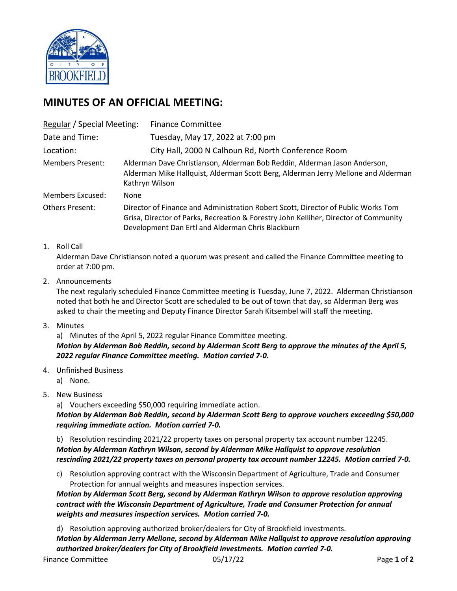

# **MINUTES OF AN OFFICIAL MEETING:**

| Regular / Special Meeting: |                                                                                                                                                                                                                                | <b>Finance Committee</b>                            |
|----------------------------|--------------------------------------------------------------------------------------------------------------------------------------------------------------------------------------------------------------------------------|-----------------------------------------------------|
| Date and Time:             |                                                                                                                                                                                                                                | Tuesday, May 17, 2022 at 7:00 pm                    |
| Location:                  |                                                                                                                                                                                                                                | City Hall, 2000 N Calhoun Rd, North Conference Room |
| <b>Members Present:</b>    | Alderman Dave Christianson, Alderman Bob Reddin, Alderman Jason Anderson,<br>Alderman Mike Hallquist, Alderman Scott Berg, Alderman Jerry Mellone and Alderman<br>Kathryn Wilson                                               |                                                     |
| <b>Members Excused:</b>    | None                                                                                                                                                                                                                           |                                                     |
| <b>Others Present:</b>     | Director of Finance and Administration Robert Scott, Director of Public Works Tom<br>Grisa, Director of Parks, Recreation & Forestry John Kelliher, Director of Community<br>Development Dan Ertl and Alderman Chris Blackburn |                                                     |

## 1. Roll Call

Alderman Dave Christianson noted a quorum was present and called the Finance Committee meeting to order at 7:00 pm.

## 2. Announcements

The next regularly scheduled Finance Committee meeting is Tuesday, June 7, 2022. Alderman Christianson noted that both he and Director Scott are scheduled to be out of town that day, so Alderman Berg was asked to chair the meeting and Deputy Finance Director Sarah Kitsembel will staff the meeting.

3. Minutes

a) Minutes of the April 5, 2022 regular Finance Committee meeting. *Motion by Alderman Bob Reddin, second by Alderman Scott Berg to approve the minutes of the April 5, 2022 regular Finance Committee meeting. Motion carried 7-0.*

4. Unfinished Business

a) None.

## 5. New Business

a) Vouchers exceeding \$50,000 requiring immediate action.

*Motion by Alderman Bob Reddin, second by Alderman Scott Berg to approve vouchers exceeding \$50,000 requiring immediate action. Motion carried 7-0.*

b) Resolution rescinding 2021/22 property taxes on personal property tax account number 12245. *Motion by Alderman Kathryn Wilson, second by Alderman Mike Hallquist to approve resolution rescinding 2021/22 property taxes on personal property tax account number 12245. Motion carried 7-0.*

c) Resolution approving contract with the Wisconsin Department of Agriculture, Trade and Consumer Protection for annual weights and measures inspection services.

*Motion by Alderman Scott Berg, second by Alderman Kathryn Wilson to approve resolution approving contract with the Wisconsin Department of Agriculture, Trade and Consumer Protection for annual weights and measures inspection services. Motion carried 7-0.*

d) Resolution approving authorized broker/dealers for City of Brookfield investments.

*Motion by Alderman Jerry Mellone, second by Alderman Mike Hallquist to approve resolution approving authorized broker/dealers for City of Brookfield investments. Motion carried 7-0.*